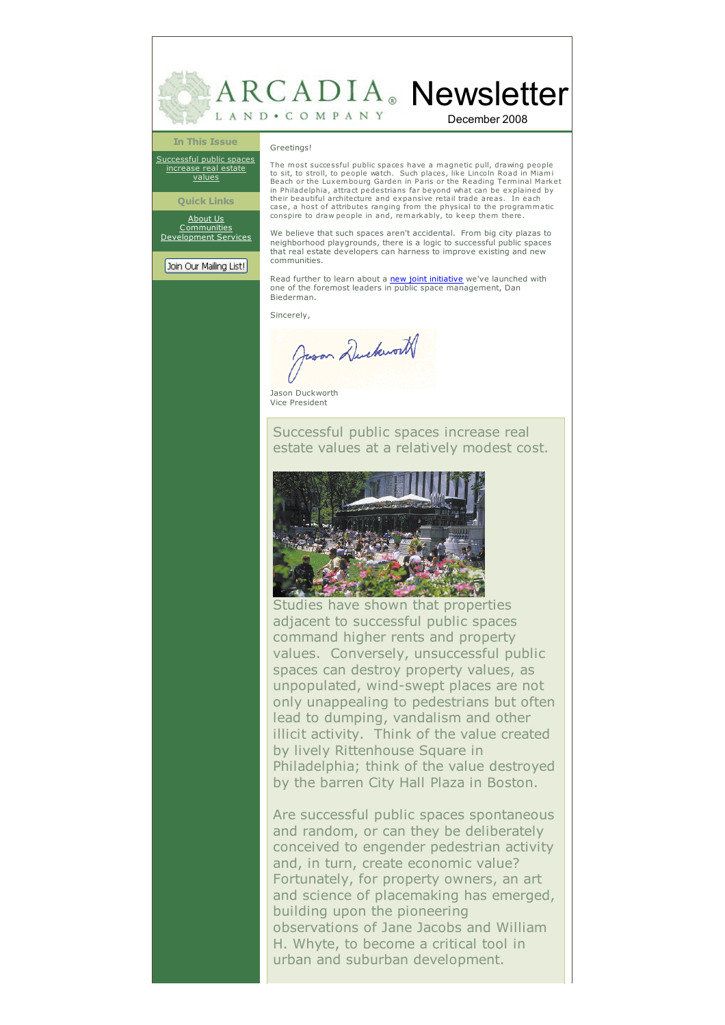

## **In This Issue**

[Successful](#page-1-0) public spaces increase real estate values

**Quick Links** [About](http://www.arcadialand.com/about.html) Us **[Communities](http://www.arcadialand.com/communities.html)** [Development](http://www.arcadialand.com/services.html) Services

Join Our Mailing List!

Greetings!

The most successful public spaces have a magnetic pull, drawing people to sit, to stroll, to people watch. Such places, like Lincoln Road in Miami Beach or the Luxembourg Garden in Paris or the Reading Terminal Market in Philadelphia, attract pedestrians far beyond what can be explained by their beautiful architecture and expansive retail trade areas. In each case, a host of attributes ranging from the physical to the programmatic conspire to draw people in and, remarkably, to keep them there.

We believe that such spaces aren't accidental. From big city plazas to neighborhood playgrounds, there is a logic to successful public spaces that real estate developers can harness to improve existing and new communities.

Read further to learn about a **new joint [initiative](http://www.arcadialand.com/Arcadia-BRV_JV.htm)** we've launched with one of the foremost leaders in public space management, Dan Biederman.

Sincerely,

Jason Duckworth

Jason Duckworth Vice President

Successful public spaces increase real estate values at a relatively modest cost.



Studies have shown that properties adjacent to successful public spaces command higher rents and property values. Conversely, unsuccessful public spaces can destroy property values, as unpopulated, wind-swept places are not only unappealing to pedestrians but often lead to dumping, vandalism and other illicit activity. Think of the value created by lively Rittenhouse Square in Philadelphia; think of the value destroyed by the barren City Hall Plaza in Boston.

Are successful public spaces spontaneous and random, or can they be deliberately conceived to engender pedestrian activity and, in turn, create economic value? Fortunately, for property owners, an art and science of placemaking has emerged, building upon the pioneering observations of Jane Jacobs and William H. Whyte, to become a critical tool in urban and suburban development.